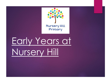

Early Years at Nursery Hill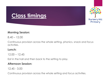# **Class timings**



#### **Morning Session:**

 $8.40 - 12.00$ 

Continuous provision across the whole setting, phonics, snack and focus activities.

#### **Lunch:**

12.00 – 12.45

Eat in the hall and then back to the setting to play.

### **Afternoon Session:**

12.45 - 3.00

Continuous provision across the whole setting and focus activities.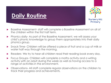

# **Daily Routine**

- Baseline Assessment- staff will complete a Baseline Assessment on all of the children within the first half term.
- **•** Phonics daily- As part of the Baseline Assessment, we will assess your child's phonic knowledge to group them appropriately into their daily phonics group.
- Snack Time- Children will be offered a piece of fruit and a cup of milk or water half way through the morning.
- Readers- We try to hear all children read their reading book every day.
- ▶ Focus Groups- Children will complete a maths activity and a writing activity with an adult during the week as well as having access to a range of activities in the environment.
- ▶ Observations- All staff complete regular observations on the children to track their progress and achievements.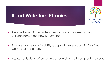

## **Read Write Inc. Phonics**

- Read Write Inc. Phonics- teaches sounds and rhymes to help children remember how to form them.
- **•** Phonics is done daily in ability groups with every adult in Early Years working with a group.
- Assessments done often so groups can change throughout the year.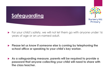



- ▶ For your child's safety, we will not let them go with anyone under 16 years of age or an un-named adult.
- **Please let us know if someone else is coming by telephoning the school office or speaking to your child's key worker.**
- **As a safeguarding measure, parents will be required to provide a password that anyone collecting your child will need to share with the class teacher.**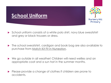



- ▶ School uniform consists of a white polo shirt, navy blue sweatshirt and grey or black trousers or dress.
- The school sweatshirt, cardigan and book bag are also available to purchase from Match Kit Fit in Nuneaton.
- ▶ We go outside in all weather! Children will need wellies and an appropriate coat and a sun hat in the summer months.
- Please provide a change of clothes if children are prone to accidents.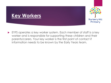### **Key Workers**



 EYFS operates a key worker system. Each member of staff is a key worker and is responsible for supporting these children and their parents/carers. Your key worker is the first point of contact if information needs to be known by the Early Years team.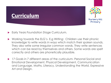## **Curriculum**



- Early Years Foundation Stage Curriculum.
- Working towards the ELG's- E.g Writing: Children use their phonic knowledge to write words in ways which match their spoken sounds. They also write some irregular common words. They write sentences which can be read by themselves and others. Some words are spelt correctly and others are phonetically plausible.
- 17 Goals in 7 different areas of the curriculum- Personal Social and Emotional Development, Physical Development, Communication and Language, Maths, Literacy, Understanding the World, Expressive Art and Design.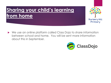## **Sharing your child's learning from home**



 We use an online platform called Class Dojo to share information between school and home. You will be sent more information about this in September.

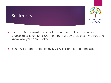



- $\blacktriangleright$  If your child is unwell or cannot come to school, for any reason, please let us know by 8.30am on the first day of sickness. We need to know why your child is absent.
- You must phone school on **02476 392318** and leave a message.